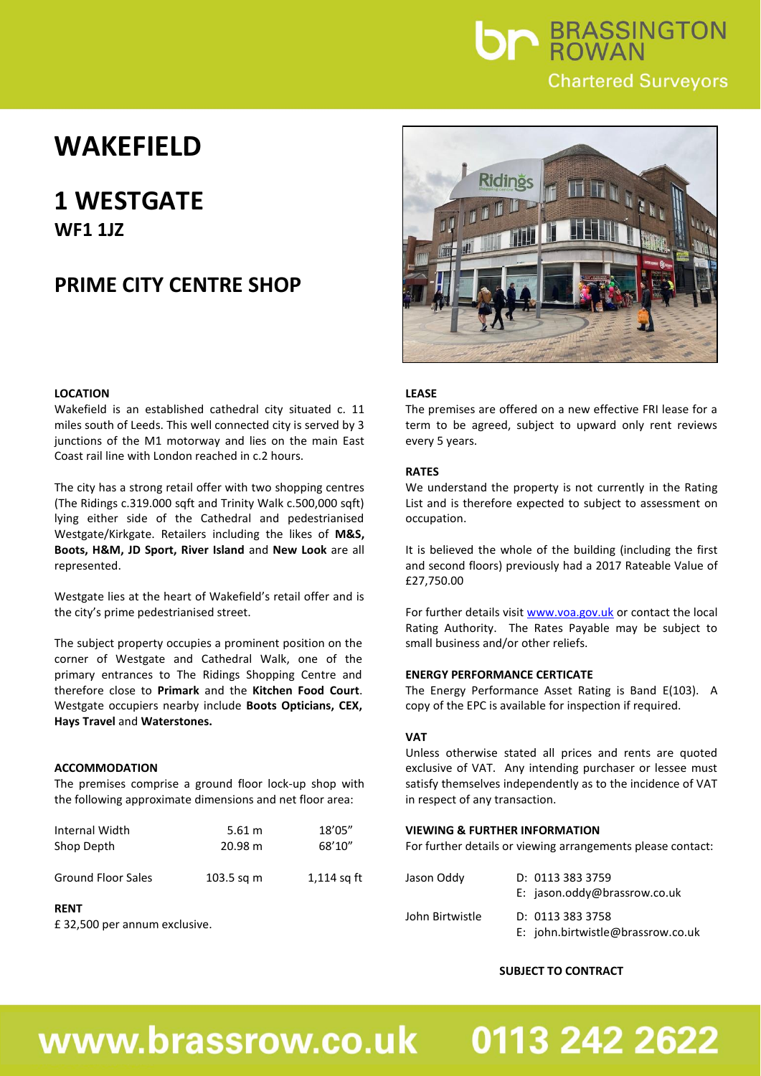

## **WAKEFIELD**

### **1 WESTGATE WF1 1JZ**

### **PRIME CITY CENTRE SHOP**

#### **LOCATION**

Wakefield is an established cathedral city situated c. 11 miles south of Leeds. This well connected city is served by 3 junctions of the M1 motorway and lies on the main East Coast rail line with London reached in c.2 hours.

The city has a strong retail offer with two shopping centres (The Ridings c.319.000 sqft and Trinity Walk c.500,000 sqft) lying either side of the Cathedral and pedestrianised Westgate/Kirkgate. Retailers including the likes of **M&S, Boots, H&M, JD Sport, River Island** and **New Look** are all represented.

Westgate lies at the heart of Wakefield's retail offer and is the city's prime pedestrianised street.

The subject property occupies a prominent position on the corner of Westgate and Cathedral Walk, one of the primary entrances to The Ridings Shopping Centre and therefore close to **Primark** and the **Kitchen Food Court**. Westgate occupiers nearby include **Boots Opticians, CEX, Hays Travel** and **Waterstones.**

#### **ACCOMMODATION**

The premises comprise a ground floor lock-up shop with the following approximate dimensions and net floor area:

| Internal Width            | 5.61 m       | 18'05"        |
|---------------------------|--------------|---------------|
| Shop Depth                | 20.98 m      | 68'10"        |
| <b>Ground Floor Sales</b> | $103.5$ sq m | $1,114$ sq ft |

#### **RENT**

£ 32,500 per annum exclusive.



#### **LEASE**

The premises are offered on a new effective FRI lease for a term to be agreed, subject to upward only rent reviews every 5 years.

#### **RATES**

We understand the property is not currently in the Rating List and is therefore expected to subject to assessment on occupation.

It is believed the whole of the building (including the first and second floors) previously had a 2017 Rateable Value of £27,750.00

For further details visit [www.voa.gov.uk](http://www.voa.gov.uk/) or contact the local Rating Authority. The Rates Payable may be subject to small business and/or other reliefs.

#### **ENERGY PERFORMANCE CERTICATE**

The Energy Performance Asset Rating is Band E(103). A copy of the EPC is available for inspection if required.

#### **VAT**

Unless otherwise stated all prices and rents are quoted exclusive of VAT. Any intending purchaser or lessee must satisfy themselves independently as to the incidence of VAT in respect of any transaction.

#### **VIEWING & FURTHER INFORMATION**

For further details or viewing arrangements please contact:

| Jason Oddy      | D: 0113 383 3759                                      |
|-----------------|-------------------------------------------------------|
|                 | E: jason.oddy@brassrow.co.uk                          |
| John Birtwistle | D: 0113 383 3758<br>E: john.birtwistle@brassrow.co.uk |

#### **SUBJECT TO CONTRACT**

## www.brassrow.co.uk

# 0113 242 2622